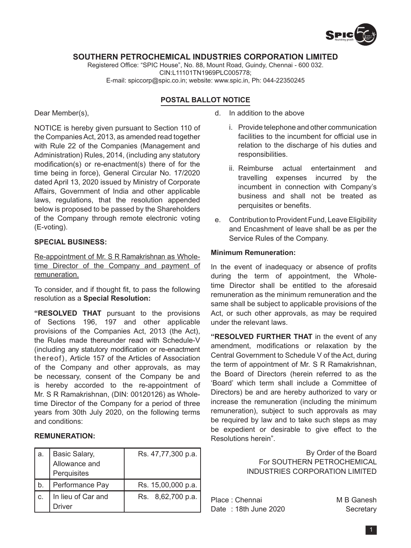

## **SOUTHERN PETROCHEMICAL INDUSTRIES CORPORATION LIMITED**

Registered Office: "SPIC House", No. 88, Mount Road, Guindy, Chennai - 600 032. CIN:L11101TN1969PLC005778; E-mail: spiccorp@spic.co.in; website: www.spic.in, Ph: 044-22350245

# **POSTAL BALLOT NOTICE**

Dear Member(s),

NOTICE is hereby given pursuant to Section 110 of the Companies Act, 2013, as amended read together with Rule 22 of the Companies (Management and Administration) Rules, 2014, (including any statutory modification(s) or re-enactment(s) there of for the time being in force), General Circular No. 17/2020 dated April 13, 2020 issued by Ministry of Corporate Affairs, Government of India and other applicable laws, regulations, that the resolution appended below is proposed to be passed by the Shareholders of the Company through remote electronic voting (E-voting).

# **Special Business:**

Re-appointment of Mr. S R Ramakrishnan as Wholetime Director of the Company and payment of remuneration.

To consider, and if thought fit, to pass the following resolution as a **Special Resolution:**

**"RESOLVED THAT** pursuant to the provisions of Sections 196, 197 and other applicable provisions of the Companies Act, 2013 (the Act), the Rules made thereunder read with Schedule-V (including any statutory modification or re-enactment thereof), Article 157 of the Articles of Association of the Company and other approvals, as may be necessary, consent of the Company be and is hereby accorded to the re-appointment of Mr. S R Ramakrishnan, (DIN: 00120126) as Wholetime Director of the Company for a period of three years from 30th July 2020, on the following terms and conditions:

## **REMUNERATION:**

| а. | Basic Salary,                       | Rs. 47,77,300 p.a. |
|----|-------------------------------------|--------------------|
|    | Allowance and                       |                    |
|    | Perquisites                         |                    |
| b. | Performance Pay                     | Rs. 15,00,000 p.a. |
|    |                                     |                    |
| C. | In lieu of Car and<br><b>Iriver</b> | Rs. 8,62,700 p.a.  |

d. In addition to the above

- i. Provide telephone and other communication facilities to the incumbent for official use in relation to the discharge of his duties and responsibilities.
- ii. Reimburse actual entertainment and travelling expenses incurred by the incumbent in connection with Company's business and shall not be treated as perquisites or benefits.
- e. Contribution to Provident Fund, Leave Eligibility and Encashment of leave shall be as per the Service Rules of the Company.

### **Minimum Remuneration:**

In the event of inadequacy or absence of profits during the term of appointment, the Wholetime Director shall be entitled to the aforesaid remuneration as the minimum remuneration and the same shall be subject to applicable provisions of the Act, or such other approvals, as may be required under the relevant laws.

**"RESOLVED FURTHER THAT** in the event of any amendment, modifications or relaxation by the Central Government to Schedule V of the Act, during the term of appointment of Mr. S R Ramakrishnan, the Board of Directors (herein referred to as the 'Board' which term shall include a Committee of Directors) be and are hereby authorized to vary or increase the remuneration (including the minimum remuneration), subject to such approvals as may be required by law and to take such steps as may be expedient or desirable to give effect to the Resolutions herein".

> By Order of the Board For SOUTHERN PETROCHEMICAL INDUSTRIES CORPORATION LIMITED

Place : Chennai M B Ganesh Date: 18th June 2020 Secretary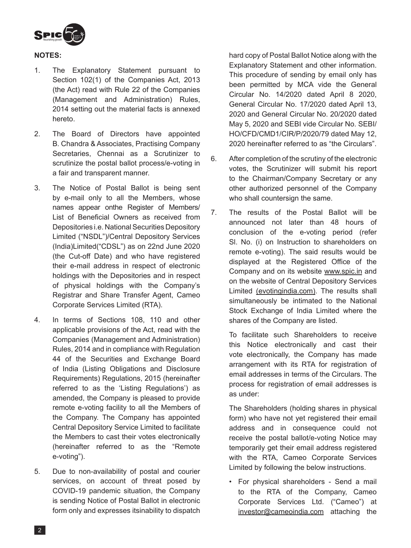

# **Notes:**

- 1. The Explanatory Statement pursuant to Section 102(1) of the Companies Act, 2013 (the Act) read with Rule 22 of the Companies (Management and Administration) Rules, 2014 setting out the material facts is annexed hereto.
- 2. The Board of Directors have appointed B. Chandra & Associates, Practising Company Secretaries, Chennai as a Scrutinizer to scrutinize the postal ballot process/e-voting in a fair and transparent manner.
- 3. The Notice of Postal Ballot is being sent by e-mail only to all the Members, whose names appear onthe Register of Members/ List of Beneficial Owners as received from Depositories i.e. National Securities Depository Limited ("NSDL")/Central Depository Services (India)Limited("CDSL") as on 22nd June 2020 (the Cut-off Date) and who have registered their e-mail address in respect of electronic holdings with the Depositories and in respect of physical holdings with the Company's Registrar and Share Transfer Agent, Cameo Corporate Services Limited (RTA).
- 4. In terms of Sections 108, 110 and other applicable provisions of the Act, read with the Companies (Management and Administration) Rules, 2014 and in compliance with Regulation 44 of the Securities and Exchange Board of India (Listing Obligations and Disclosure Requirements) Regulations, 2015 (hereinafter referred to as the 'Listing Regulations') as amended, the Company is pleased to provide remote e-voting facility to all the Members of the Company. The Company has appointed Central Depository Service Limited to facilitate the Members to cast their votes electronically (hereinafter referred to as the "Remote e-voting").
- 5. Due to non-availability of postal and courier services, on account of threat posed by COVID-19 pandemic situation, the Company is sending Notice of Postal Ballot in electronic form only and expresses itsinability to dispatch

hard copy of Postal Ballot Notice along with the Explanatory Statement and other information. This procedure of sending by email only has been permitted by MCA vide the General Circular No. 14/2020 dated April 8 2020, General Circular No. 17/2020 dated April 13, 2020 and General Circular No. 20/2020 dated May 5, 2020 and SEBI vide Circular No. SEBI/ HO/CFD/CMD1/CIR/P/2020/79 dated May 12, 2020 hereinafter referred to as "the Circulars".

- 6. After completion of the scrutiny of the electronic votes, the Scrutinizer will submit his report to the Chairman/Company Secretary or any other authorized personnel of the Company who shall countersign the same.
- 7. The results of the Postal Ballot will be announced not later than 48 hours of conclusion of the e-voting period (refer Sl. No. (i) on Instruction to shareholders on remote e-voting). The said results would be displayed at the Registered Office of the Company and on its website www.spic.in and on the website of Central Depository Services Limited (evotingindia.com). The results shall simultaneously be intimated to the National Stock Exchange of India Limited where the shares of the Company are listed.

To facilitate such Shareholders to receive this Notice electronically and cast their vote electronically, the Company has made arrangement with its RTA for registration of email addresses in terms of the Circulars. The process for registration of email addresses is as under:

The Shareholders (holding shares in physical form) who have not yet registered their email address and in consequence could not receive the postal ballot/e-voting Notice may temporarily get their email address registered with the RTA, Cameo Corporate Services Limited by following the below instructions.

 • For physical shareholders - Send a mail to the RTA of the Company, Cameo Corporate Services Ltd. ("Cameo") at investor@cameoindia.com attaching the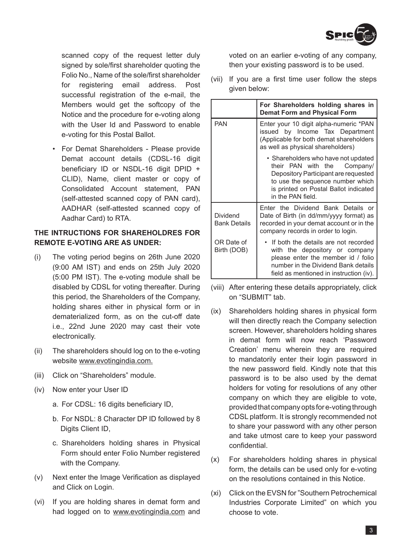

scanned copy of the request letter duly signed by sole/first shareholder quoting the Folio No., Name of the sole/first shareholder for registering email address. Post successful registration of the e-mail, the Members would get the softcopy of the Notice and the procedure for e-voting along with the User Id and Password to enable e-voting for this Postal Ballot.

 • For Demat Shareholders - Please provide Demat account details (CDSL-16 digit beneficiary ID or NSDL-16 digit DPID + CLID), Name, client master or copy of Consolidated Account statement, PAN (self-attested scanned copy of PAN card), AADHAR (self-attested scanned copy of Aadhar Card) to RTA.

# **THE INTRUCTIONS FOR SHAREHOLDRES FOR REMOTE E-VOTING ARE AS UNDER:**

- (i) The voting period begins on 26th June 2020 (9:00 AM IST) and ends on 25th July 2020 (5:00 PM IST). The e-voting module shall be disabled by CDSL for voting thereafter. During this period, the Shareholders of the Company, holding shares either in physical form or in dematerialized form, as on the cut-off date i.e., 22nd June 2020 may cast their vote electronically.
- (ii) The shareholders should log on to the e-voting website www.evotingindia.com.
- (iii) Click on "Shareholders" module.
- (iv) Now enter your User ID
	- a. For CDSL: 16 digits beneficiary ID,
	- b. For NSDL: 8 Character DP ID followed by 8 Digits Client ID,
	- c. Shareholders holding shares in Physical Form should enter Folio Number registered with the Company.
- (v) Next enter the Image Verification as displayed and Click on Login.
- (vi) If you are holding shares in demat form and had logged on to www.evotingindia.com and

voted on an earlier e-voting of any company, then your existing password is to be used.

(vii) If you are a first time user follow the steps given below:

|                                 | For Shareholders holding shares in<br><b>Demat Form and Physical Form</b>                                                                                                                                       |
|---------------------------------|-----------------------------------------------------------------------------------------------------------------------------------------------------------------------------------------------------------------|
| <b>PAN</b>                      | Enter your 10 digit alpha-numeric *PAN<br>issued by Income Tax Department<br>(Applicable for both demat shareholders<br>as well as physical shareholders)                                                       |
|                                 | • Shareholders who have not updated<br>Company/<br>their PAN with the<br>Depository Participant are requested<br>to use the sequence number which<br>is printed on Postal Ballot indicated<br>in the PAN field. |
| Dividend<br><b>Bank Details</b> | Enter the Dividend Bank Details or<br>Date of Birth (in dd/mm/yyyy format) as<br>recorded in your demat account or in the<br>company records in order to login.                                                 |
| OR Date of<br>Birth (DOB)       | If both the details are not recorded<br>with the depository or company<br>please enter the member id / folio<br>number in the Dividend Bank details<br>field as mentioned in instruction (iv).                  |

- (viii) After entering these details appropriately, click on "SUBMIT" tab.
- (ix) Shareholders holding shares in physical form will then directly reach the Company selection screen. However, shareholders holding shares in demat form will now reach 'Password Creation' menu wherein they are required to mandatorily enter their login password in the new password field. Kindly note that this password is to be also used by the demat holders for voting for resolutions of any other company on which they are eligible to vote, provided that company opts for e-voting through CDSL platform. It is strongly recommended not to share your password with any other person and take utmost care to keep your password confidential.
- (x) For shareholders holding shares in physical form, the details can be used only for e-voting on the resolutions contained in this Notice.
- (xi) Click on the EVSN for "Southern Petrochemical Industries Corporate Limited" on which you choose to vote.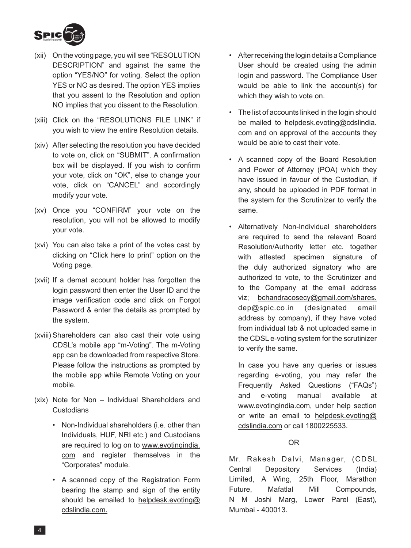

- (xii) On the voting page, you will see "RESOLUTION DESCRIPTION" and against the same the option "YES/NO" for voting. Select the option YES or NO as desired. The option YES implies that you assent to the Resolution and option NO implies that you dissent to the Resolution.
- (xiii) Click on the "RESOLUTIONS FILE LINK" if you wish to view the entire Resolution details.
- (xiv) After selecting the resolution you have decided to vote on, click on "SUBMIT". A confirmation box will be displayed. If you wish to confirm your vote, click on "OK", else to change your vote, click on "CANCEL" and accordingly modify your vote.
- (xv) Once you "CONFIRM" your vote on the resolution, you will not be allowed to modify your vote.
- (xvi) You can also take a print of the votes cast by clicking on "Click here to print" option on the Voting page.
- (xvii) If a demat account holder has forgotten the login password then enter the User ID and the image verification code and click on Forgot Password & enter the details as prompted by the system.
- (xviii) Shareholders can also cast their vote using CDSL's mobile app "m-Voting". The m-Voting app can be downloaded from respective Store. Please follow the instructions as prompted by the mobile app while Remote Voting on your mobile.
- (xix) Note for Non Individual Shareholders and **Custodians** 
	- Non-Individual shareholders (i.e. other than Individuals, HUF, NRI etc.) and Custodians are required to log on to www.evotingindia. com and register themselves in the "Corporates" module.
	- • A scanned copy of the Registration Form bearing the stamp and sign of the entity should be emailed to helpdesk.evoting@ cdslindia.com.
- After receiving the login details a Compliance User should be created using the admin login and password. The Compliance User would be able to link the account(s) for which they wish to vote on.
- The list of accounts linked in the login should be mailed to helpdesk.evoting@cdslindia. com and on approval of the accounts they would be able to cast their vote.
- • A scanned copy of the Board Resolution and Power of Attorney (POA) which they have issued in favour of the Custodian, if any, should be uploaded in PDF format in the system for the Scrutinizer to verify the same.
- Alternatively Non-Individual shareholders are required to send the relevant Board Resolution/Authority letter etc. together with attested specimen signature of the duly authorized signatory who are authorized to vote, to the Scrutinizer and to the Company at the email address viz; bchandracosecy@gmail.com/shares. dep@spic.co.in (designated email address by company), if they have voted from individual tab & not uploaded same in the CDSL e-voting system for the scrutinizer to verify the same.

 In case you have any queries or issues regarding e-voting, you may refer the Frequently Asked Questions ("FAQs") and e-voting manual available at www.evotingindia.com, under help section or write an email to helpdesk.evoting@ cdslindia.com or call 1800225533.

# OR

Mr. Rakesh Dalvi, Manager, (CDSL Central Depository Services (India) Limited, A Wing, 25th Floor, Marathon Future, Mafatlal Mill Compounds, N M Joshi Marg, Lower Parel (East), Mumbai - 400013.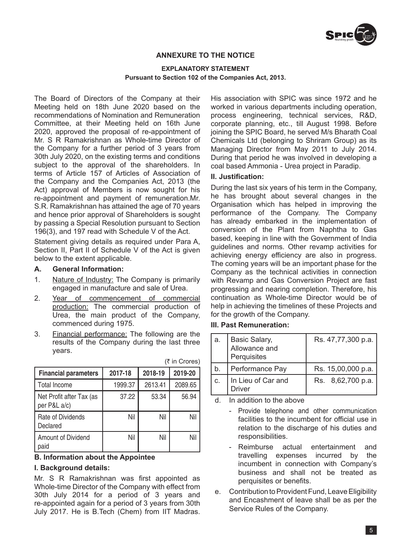

# **ANNEXURE TO THE NOTICE**

#### **EXPLANATORY STATEMENT Pursuant to Section 102 of the Companies Act, 2013.**

The Board of Directors of the Company at their Meeting held on 18th June 2020 based on the recommendations of Nomination and Remuneration Committee, at their Meeting held on 16th June 2020, approved the proposal of re-appointment of Mr. S R Ramakrishnan as Whole-time Director of the Company for a further period of 3 years from 30th July 2020, on the existing terms and conditions subject to the approval of the shareholders. In terms of Article 157 of Articles of Association of the Company and the Companies Act, 2013 (the Act) approval of Members is now sought for his re-appointment and payment of remuneration.Mr. S.R. Ramakrishnan has attained the age of 70 years and hence prior approval of Shareholders is sought by passing a Special Resolution pursuant to Section 196(3), and 197 read with Schedule V of the Act.

Statement giving details as required under Para A, Section II, Part II of Schedule V of the Act is given below to the extent applicable.

#### **A. General Information:**

- 1. Nature of Industry: The Company is primarily engaged in manufacture and sale of Urea.
- 2. Year of commencement of commercial production: The commercial production of Urea, the main product of the Company, commenced during 1975.
- 3. Financial performance: The following are the results of the Company during the last three years.

| <b>Financial parameters</b>              | 2017-18 | 2018-19 | 2019-20 |
|------------------------------------------|---------|---------|---------|
| <b>Total Income</b>                      | 1999.37 | 2613.41 | 2089.65 |
| Net Profit after Tax (as<br>per P&L a/c) | 37.22   | 53.34   | 56.94   |
| Rate of Dividends<br>Declared            | Nil     | Nil     | Nil     |
| Amount of Dividend<br>paid               | Nil     | Nil     | Nil     |

### $($ ₹ in Crores)

# **B. Information about the Appointee**

#### **I. Background details:**

Mr. S R Ramakrishnan was first appointed as Whole-time Director of the Company with effect from 30th July 2014 for a period of 3 years and re-appointed again for a period of 3 years from 30th July 2017. He is B.Tech (Chem) from IIT Madras.

His association with SPIC was since 1972 and he worked in various departments including operation, process engineering, technical services, R&D, corporate planning, etc., till August 1998. Before joining the SPIC Board, he served M/s Bharath Coal Chemicals Ltd (belonging to Shriram Group) as its Managing Director from May 2011 to July 2014. During that period he was involved in developing a coal based Ammonia - Urea project in Paradip.

#### **II. Justification:**

During the last six years of his term in the Company, he has brought about several changes in the Organisation which has helped in improving the performance of the Company. The Company has already embarked in the implementation of conversion of the Plant from Naphtha to Gas based, keeping in line with the Government of India guidelines and norms. Other revamp activities for achieving energy efficiency are also in progress. The coming years will be an important phase for the Company as the technical activities in connection with Revamp and Gas Conversion Project are fast progressing and nearing completion. Therefore, his continuation as Whole-time Director would be of help in achieving the timelines of these Projects and for the growth of the Company.

### **III. Past Remuneration:**

| а. | Basic Salary,<br>Allowance and<br>Perquisites | Rs. 47,77,300 p.a. |
|----|-----------------------------------------------|--------------------|
| b. | Performance Pay                               | Rs. 15,00,000 p.a. |
| C. | In Lieu of Car and<br><b>Driver</b>           | Rs. 8,62,700 p.a.  |

d. In addition to the above

 - Provide telephone and other communication facilities to the incumbent for official use in relation to the discharge of his duties and responsibilities.

- Reimburse actual entertainment and travelling expenses incurred by the incumbent in connection with Company's business and shall not be treated as perquisites or benefits.
- e. Contribution to Provident Fund, Leave Eligibility and Encashment of leave shall be as per the Service Rules of the Company.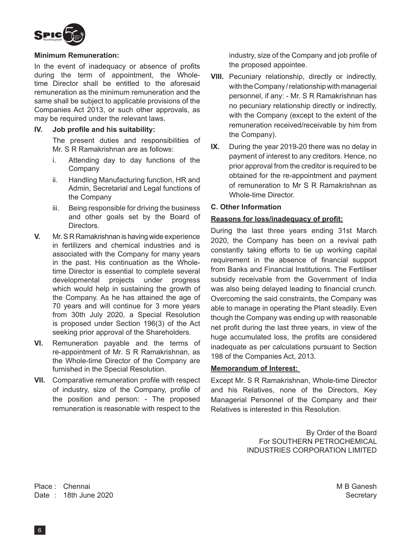

# **Minimum Remuneration:**

In the event of inadequacy or absence of profits during the term of appointment, the Wholetime Director shall be entitled to the aforesaid remuneration as the minimum remuneration and the same shall be subject to applicable provisions of the Companies Act 2013, or such other approvals, as may be required under the relevant laws.

### **IV. Job profile and his suitability:**

The present duties and responsibilities of Mr. S R Ramakrishnan are as follows:

- i. Attending day to day functions of the Company
- ii. Handling Manufacturing function, HR and Admin, Secretarial and Legal functions of the Company
- iii. Being responsible for driving the business and other goals set by the Board of Directors.
- **V.** Mr. S R Ramakrishnan is having wide experience in fertilizers and chemical industries and is associated with the Company for many years in the past. His continuation as the Wholetime Director is essential to complete several developmental projects under progress which would help in sustaining the growth of the Company. As he has attained the age of 70 years and will continue for 3 more years from 30th July 2020, a Special Resolution is proposed under Section 196(3) of the Act seeking prior approval of the Shareholders.
- **VI.** Remuneration payable and the terms of re-appointment of Mr. S R Ramakrishnan, as the Whole-time Director of the Company are furnished in the Special Resolution.
- **VII.** Comparative remuneration profile with respect of industry, size of the Company, profile of the position and person: - The proposed remuneration is reasonable with respect to the

industry, size of the Company and job profile of the proposed appointee.

- **VIII.** Pecuniary relationship, directly or indirectly, with the Company / relationship with managerial personnel, if any: - Mr. S R Ramakrishnan has no pecuniary relationship directly or indirectly, with the Company (except to the extent of the remuneration received/receivable by him from the Company).
- **IX.** During the year 2019-20 there was no delay in payment of interest to any creditors. Hence, no prior approval from the creditor is required to be obtained for the re-appointment and payment of remuneration to Mr S R Ramakrishnan as Whole-time Director.

## **C. Other Information**

## **Reasons for loss/inadequacy of profit:**

During the last three years ending 31st March 2020, the Company has been on a revival path constantly taking efforts to tie up working capital requirement in the absence of financial support from Banks and Financial Institutions. The Fertiliser subsidy receivable from the Government of India was also being delayed leading to financial crunch. Overcoming the said constraints, the Company was able to manage in operating the Plant steadily. Even though the Company was ending up with reasonable net profit during the last three years, in view of the huge accumulated loss, the profits are considered inadequate as per calculations pursuant to Section 198 of the Companies Act, 2013.

## **Memorandum of Interest:**

Except Mr. S R Ramakrishnan, Whole-time Director and his Relatives, none of the Directors, Key Managerial Personnel of the Company and their Relatives is interested in this Resolution.

> By Order of the Board For SOUTHERN PETROCHEMICAL INDUSTRIES CORPORATION LIMITED

Place : Chennai M B Ganesh (M B Ganesh M B Ganesh M B Ganesh M B Ganesh M B Ganesh M B Ganesh M B Ganesh M B Ganesh M B Ganesh M B Ganesh M B Ganesh M B Ganesh M B Ganesh M B Ganesh M B Ganesh M B Ganesh M B Ganesh M B Gan Date : 18th June 2020 Secretary 3. The secretary secretary secretary secretary secretary secretary secretary secretary secretary secretary secretary secretary secretary secretary secretary secretary secretary secretary sec